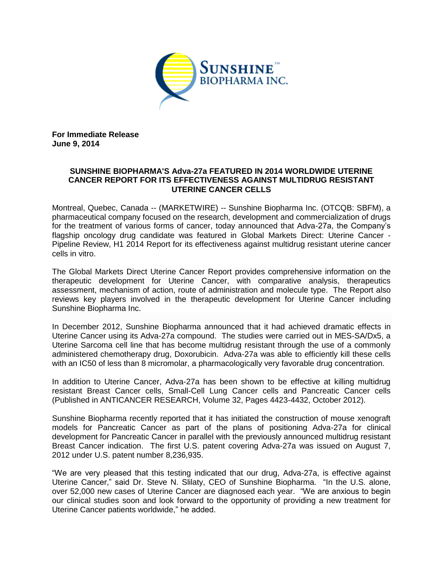

**For Immediate Release June 9, 2014**

## **SUNSHINE BIOPHARMA'S Adva-27a FEATURED IN 2014 WORLDWIDE UTERINE CANCER REPORT FOR ITS EFFECTIVENESS AGAINST MULTIDRUG RESISTANT UTERINE CANCER CELLS**

Montreal, Quebec, Canada -- (MARKETWIRE) -- Sunshine Biopharma Inc. (OTCQB: SBFM), a pharmaceutical company focused on the research, development and commercialization of drugs for the treatment of various forms of cancer, today announced that Adva-27a, the Company's flagship oncology drug candidate was featured in Global Markets Direct: Uterine Cancer - Pipeline Review, H1 2014 Report for its effectiveness against multidrug resistant uterine cancer cells in vitro.

The Global Markets Direct Uterine Cancer Report provides comprehensive information on the therapeutic development for Uterine Cancer, with comparative analysis, therapeutics assessment, mechanism of action, route of administration and molecule type. The Report also reviews key players involved in the therapeutic development for Uterine Cancer including Sunshine Biopharma Inc.

In December 2012, Sunshine Biopharma announced that it had achieved dramatic effects in Uterine Cancer using its Adva-27a compound. The studies were carried out in MES-SA/Dx5, a Uterine Sarcoma cell line that has become multidrug resistant through the use of a commonly administered chemotherapy drug, Doxorubicin. Adva-27a was able to efficiently kill these cells with an IC50 of less than 8 micromolar, a pharmacologically very favorable drug concentration.

In addition to Uterine Cancer, Adva-27a has been shown to be effective at killing multidrug resistant Breast Cancer cells, Small-Cell Lung Cancer cells and Pancreatic Cancer cells (Published in ANTICANCER RESEARCH, Volume 32, Pages 4423-4432, October 2012).

Sunshine Biopharma recently reported that it has initiated the construction of mouse xenograft models for Pancreatic Cancer as part of the plans of positioning Adva-27a for clinical development for Pancreatic Cancer in parallel with the previously announced multidrug resistant Breast Cancer indication. The first U.S. patent covering Adva-27a was issued on August 7, 2012 under U.S. patent number 8,236,935.

"We are very pleased that this testing indicated that our drug, Adva-27a, is effective against Uterine Cancer," said Dr. Steve N. Slilaty, CEO of Sunshine Biopharma. "In the U.S. alone, over 52,000 new cases of Uterine Cancer are diagnosed each year. "We are anxious to begin our clinical studies soon and look forward to the opportunity of providing a new treatment for Uterine Cancer patients worldwide," he added.